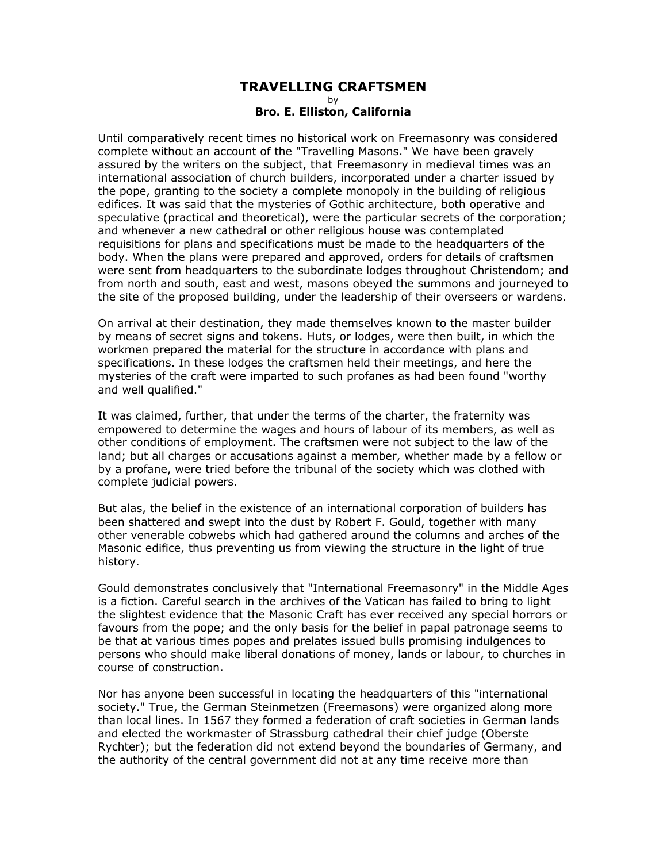## **TRAVELLING CRAFTSMEN**

by

## **Bro. E. Elliston, California**

Until comparatively recent times no historical work on Freemasonry was considered complete without an account of the "Travelling Masons." We have been gravely assured by the writers on the subject, that Freemasonry in medieval times was an international association of church builders, incorporated under a charter issued by the pope, granting to the society a complete monopoly in the building of religious edifices. It was said that the mysteries of Gothic architecture, both operative and speculative (practical and theoretical), were the particular secrets of the corporation; and whenever a new cathedral or other religious house was contemplated requisitions for plans and specifications must be made to the headquarters of the body. When the plans were prepared and approved, orders for details of craftsmen were sent from headquarters to the subordinate lodges throughout Christendom; and from north and south, east and west, masons obeyed the summons and journeyed to the site of the proposed building, under the leadership of their overseers or wardens.

On arrival at their destination, they made themselves known to the master builder by means of secret signs and tokens. Huts, or lodges, were then built, in which the workmen prepared the material for the structure in accordance with plans and specifications. In these lodges the craftsmen held their meetings, and here the mysteries of the craft were imparted to such profanes as had been found "worthy and well qualified."

It was claimed, further, that under the terms of the charter, the fraternity was empowered to determine the wages and hours of labour of its members, as well as other conditions of employment. The craftsmen were not subject to the law of the land; but all charges or accusations against a member, whether made by a fellow or by a profane, were tried before the tribunal of the society which was clothed with complete judicial powers.

But alas, the belief in the existence of an international corporation of builders has been shattered and swept into the dust by Robert F. Gould, together with many other venerable cobwebs which had gathered around the columns and arches of the Masonic edifice, thus preventing us from viewing the structure in the light of true history.

Gould demonstrates conclusively that "International Freemasonry" in the Middle Ages is a fiction. Careful search in the archives of the Vatican has failed to bring to light the slightest evidence that the Masonic Craft has ever received any special horrors or favours from the pope; and the only basis for the belief in papal patronage seems to be that at various times popes and prelates issued bulls promising indulgences to persons who should make liberal donations of money, lands or labour, to churches in course of construction.

Nor has anyone been successful in locating the headquarters of this "international society." True, the German Steinmetzen (Freemasons) were organized along more than local lines. In 1567 they formed a federation of craft societies in German lands and elected the workmaster of Strassburg cathedral their chief judge (Oberste Rychter); but the federation did not extend beyond the boundaries of Germany, and the authority of the central government did not at any time receive more than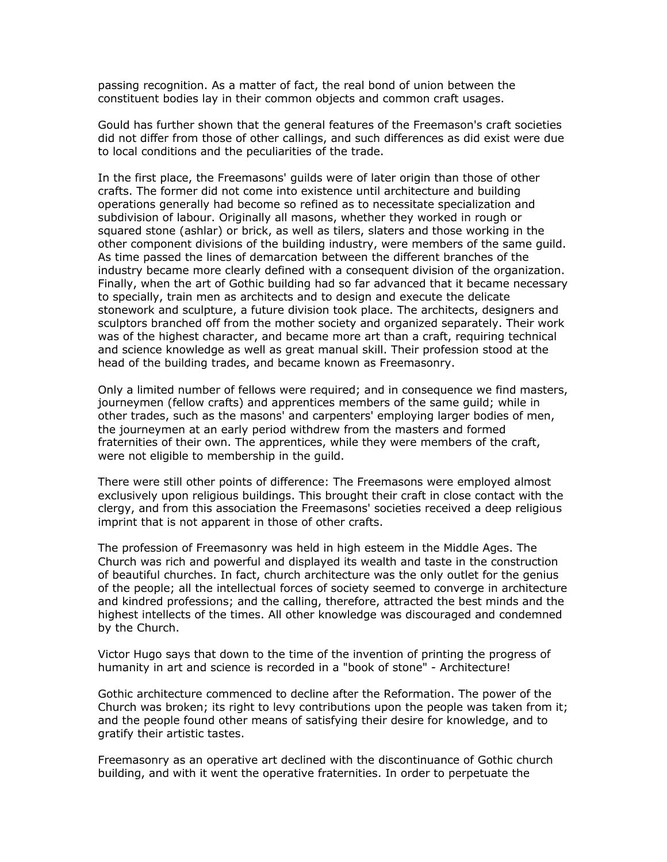passing recognition. As a matter of fact, the real bond of union between the constituent bodies lay in their common objects and common craft usages.

Gould has further shown that the general features of the Freemason's craft societies did not differ from those of other callings, and such differences as did exist were due to local conditions and the peculiarities of the trade.

In the first place, the Freemasons' guilds were of later origin than those of other crafts. The former did not come into existence until architecture and building operations generally had become so refined as to necessitate specialization and subdivision of labour. Originally all masons, whether they worked in rough or squared stone (ashlar) or brick, as well as tilers, slaters and those working in the other component divisions of the building industry, were members of the same guild. As time passed the lines of demarcation between the different branches of the industry became more clearly defined with a consequent division of the organization. Finally, when the art of Gothic building had so far advanced that it became necessary to specially, train men as architects and to design and execute the delicate stonework and sculpture, a future division took place. The architects, designers and sculptors branched off from the mother society and organized separately. Their work was of the highest character, and became more art than a craft, requiring technical and science knowledge as well as great manual skill. Their profession stood at the head of the building trades, and became known as Freemasonry.

Only a limited number of fellows were required; and in consequence we find masters, journeymen (fellow crafts) and apprentices members of the same guild; while in other trades, such as the masons' and carpenters' employing larger bodies of men, the journeymen at an early period withdrew from the masters and formed fraternities of their own. The apprentices, while they were members of the craft, were not eligible to membership in the guild.

There were still other points of difference: The Freemasons were employed almost exclusively upon religious buildings. This brought their craft in close contact with the clergy, and from this association the Freemasons' societies received a deep religious imprint that is not apparent in those of other crafts.

The profession of Freemasonry was held in high esteem in the Middle Ages. The Church was rich and powerful and displayed its wealth and taste in the construction of beautiful churches. In fact, church architecture was the only outlet for the genius of the people; all the intellectual forces of society seemed to converge in architecture and kindred professions; and the calling, therefore, attracted the best minds and the highest intellects of the times. All other knowledge was discouraged and condemned by the Church.

Victor Hugo says that down to the time of the invention of printing the progress of humanity in art and science is recorded in a "book of stone" - Architecture!

Gothic architecture commenced to decline after the Reformation. The power of the Church was broken; its right to levy contributions upon the people was taken from it; and the people found other means of satisfying their desire for knowledge, and to gratify their artistic tastes.

Freemasonry as an operative art declined with the discontinuance of Gothic church building, and with it went the operative fraternities. In order to perpetuate the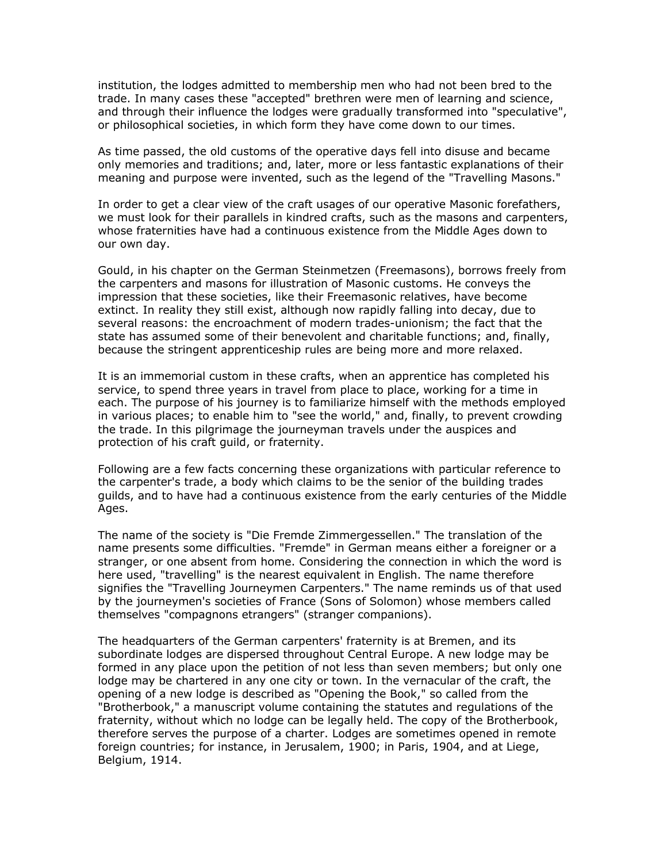institution, the lodges admitted to membership men who had not been bred to the trade. In many cases these "accepted" brethren were men of learning and science, and through their influence the lodges were gradually transformed into "speculative", or philosophical societies, in which form they have come down to our times.

As time passed, the old customs of the operative days fell into disuse and became only memories and traditions; and, later, more or less fantastic explanations of their meaning and purpose were invented, such as the legend of the "Travelling Masons."

In order to get a clear view of the craft usages of our operative Masonic forefathers, we must look for their parallels in kindred crafts, such as the masons and carpenters, whose fraternities have had a continuous existence from the Middle Ages down to our own day.

Gould, in his chapter on the German Steinmetzen (Freemasons), borrows freely from the carpenters and masons for illustration of Masonic customs. He conveys the impression that these societies, like their Freemasonic relatives, have become extinct. In reality they still exist, although now rapidly falling into decay, due to several reasons: the encroachment of modern trades-unionism; the fact that the state has assumed some of their benevolent and charitable functions; and, finally, because the stringent apprenticeship rules are being more and more relaxed.

It is an immemorial custom in these crafts, when an apprentice has completed his service, to spend three years in travel from place to place, working for a time in each. The purpose of his journey is to familiarize himself with the methods employed in various places; to enable him to "see the world," and, finally, to prevent crowding the trade. In this pilgrimage the journeyman travels under the auspices and protection of his craft guild, or fraternity.

Following are a few facts concerning these organizations with particular reference to the carpenter's trade, a body which claims to be the senior of the building trades guilds, and to have had a continuous existence from the early centuries of the Middle Ages.

The name of the society is "Die Fremde Zimmergessellen." The translation of the name presents some difficulties. "Fremde" in German means either a foreigner or a stranger, or one absent from home. Considering the connection in which the word is here used, "travelling" is the nearest equivalent in English. The name therefore signifies the "Travelling Journeymen Carpenters." The name reminds us of that used by the journeymen's societies of France (Sons of Solomon) whose members called themselves "compagnons etrangers" (stranger companions).

The headquarters of the German carpenters' fraternity is at Bremen, and its subordinate lodges are dispersed throughout Central Europe. A new lodge may be formed in any place upon the petition of not less than seven members; but only one lodge may be chartered in any one city or town. In the vernacular of the craft, the opening of a new lodge is described as "Opening the Book," so called from the "Brotherbook," a manuscript volume containing the statutes and regulations of the fraternity, without which no lodge can be legally held. The copy of the Brotherbook, therefore serves the purpose of a charter. Lodges are sometimes opened in remote foreign countries; for instance, in Jerusalem, 1900; in Paris, 1904, and at Liege, Belgium, 1914.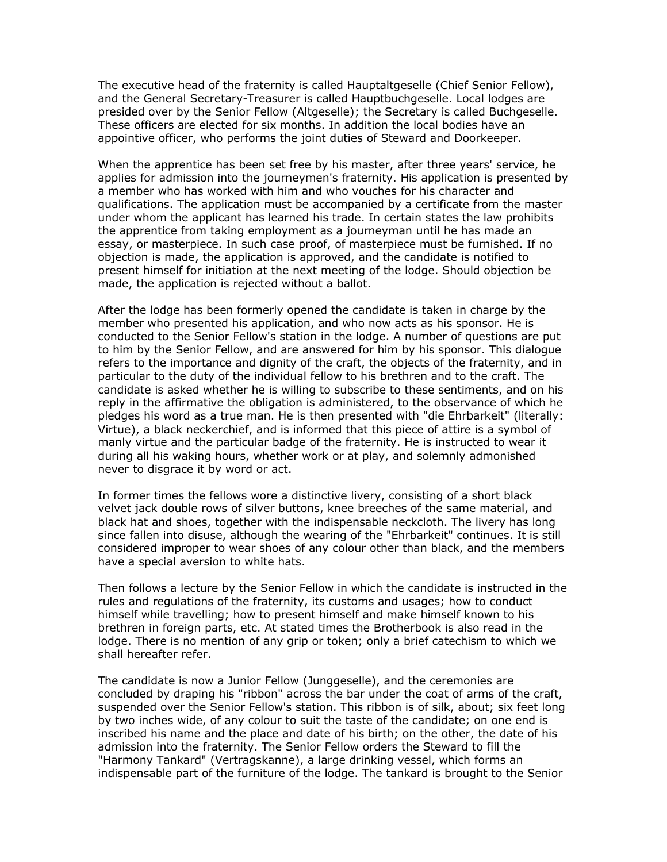The executive head of the fraternity is called Hauptaltgeselle (Chief Senior Fellow), and the General Secretary-Treasurer is called Hauptbuchgeselle. Local lodges are presided over by the Senior Fellow (Altgeselle); the Secretary is called Buchgeselle. These officers are elected for six months. In addition the local bodies have an appointive officer, who performs the joint duties of Steward and Doorkeeper.

When the apprentice has been set free by his master, after three years' service, he applies for admission into the journeymen's fraternity. His application is presented by a member who has worked with him and who vouches for his character and qualifications. The application must be accompanied by a certificate from the master under whom the applicant has learned his trade. In certain states the law prohibits the apprentice from taking employment as a journeyman until he has made an essay, or masterpiece. In such case proof, of masterpiece must be furnished. If no objection is made, the application is approved, and the candidate is notified to present himself for initiation at the next meeting of the lodge. Should objection be made, the application is rejected without a ballot.

After the lodge has been formerly opened the candidate is taken in charge by the member who presented his application, and who now acts as his sponsor. He is conducted to the Senior Fellow's station in the lodge. A number of questions are put to him by the Senior Fellow, and are answered for him by his sponsor. This dialogue refers to the importance and dignity of the craft, the objects of the fraternity, and in particular to the duty of the individual fellow to his brethren and to the craft. The candidate is asked whether he is willing to subscribe to these sentiments, and on his reply in the affirmative the obligation is administered, to the observance of which he pledges his word as a true man. He is then presented with "die Ehrbarkeit" (literally: Virtue), a black neckerchief, and is informed that this piece of attire is a symbol of manly virtue and the particular badge of the fraternity. He is instructed to wear it during all his waking hours, whether work or at play, and solemnly admonished never to disgrace it by word or act.

In former times the fellows wore a distinctive livery, consisting of a short black velvet jack double rows of silver buttons, knee breeches of the same material, and black hat and shoes, together with the indispensable neckcloth. The livery has long since fallen into disuse, although the wearing of the "Ehrbarkeit" continues. It is still considered improper to wear shoes of any colour other than black, and the members have a special aversion to white hats.

Then follows a lecture by the Senior Fellow in which the candidate is instructed in the rules and regulations of the fraternity, its customs and usages; how to conduct himself while travelling; how to present himself and make himself known to his brethren in foreign parts, etc. At stated times the Brotherbook is also read in the lodge. There is no mention of any grip or token; only a brief catechism to which we shall hereafter refer.

The candidate is now a Junior Fellow (Junggeselle), and the ceremonies are concluded by draping his "ribbon" across the bar under the coat of arms of the craft, suspended over the Senior Fellow's station. This ribbon is of silk, about; six feet long by two inches wide, of any colour to suit the taste of the candidate; on one end is inscribed his name and the place and date of his birth; on the other, the date of his admission into the fraternity. The Senior Fellow orders the Steward to fill the "Harmony Tankard" (Vertragskanne), a large drinking vessel, which forms an indispensable part of the furniture of the lodge. The tankard is brought to the Senior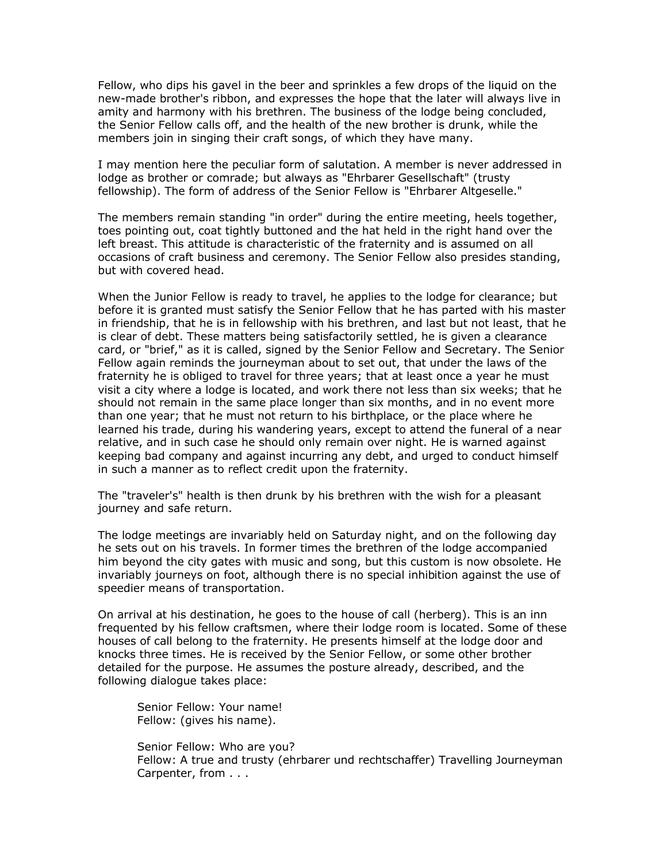Fellow, who dips his gavel in the beer and sprinkles a few drops of the liquid on the new-made brother's ribbon, and expresses the hope that the later will always live in amity and harmony with his brethren. The business of the lodge being concluded, the Senior Fellow calls off, and the health of the new brother is drunk, while the members join in singing their craft songs, of which they have many.

I may mention here the peculiar form of salutation. A member is never addressed in lodge as brother or comrade; but always as "Ehrbarer Gesellschaft" (trusty fellowship). The form of address of the Senior Fellow is "Ehrbarer Altgeselle."

The members remain standing "in order" during the entire meeting, heels together, toes pointing out, coat tightly buttoned and the hat held in the right hand over the left breast. This attitude is characteristic of the fraternity and is assumed on all occasions of craft business and ceremony. The Senior Fellow also presides standing, but with covered head.

When the Junior Fellow is ready to travel, he applies to the lodge for clearance; but before it is granted must satisfy the Senior Fellow that he has parted with his master in friendship, that he is in fellowship with his brethren, and last but not least, that he is clear of debt. These matters being satisfactorily settled, he is given a clearance card, or "brief," as it is called, signed by the Senior Fellow and Secretary. The Senior Fellow again reminds the journeyman about to set out, that under the laws of the fraternity he is obliged to travel for three years; that at least once a year he must visit a city where a lodge is located, and work there not less than six weeks; that he should not remain in the same place longer than six months, and in no event more than one year; that he must not return to his birthplace, or the place where he learned his trade, during his wandering years, except to attend the funeral of a near relative, and in such case he should only remain over night. He is warned against keeping bad company and against incurring any debt, and urged to conduct himself in such a manner as to reflect credit upon the fraternity.

The "traveler's" health is then drunk by his brethren with the wish for a pleasant journey and safe return.

The lodge meetings are invariably held on Saturday night, and on the following day he sets out on his travels. In former times the brethren of the lodge accompanied him beyond the city gates with music and song, but this custom is now obsolete. He invariably journeys on foot, although there is no special inhibition against the use of speedier means of transportation.

On arrival at his destination, he goes to the house of call (herberg). This is an inn frequented by his fellow craftsmen, where their lodge room is located. Some of these houses of call belong to the fraternity. He presents himself at the lodge door and knocks three times. He is received by the Senior Fellow, or some other brother detailed for the purpose. He assumes the posture already, described, and the following dialogue takes place:

Senior Fellow: Your name! Fellow: (gives his name).

Senior Fellow: Who are you? Fellow: A true and trusty (ehrbarer und rechtschaffer) Travelling Journeyman Carpenter, from . . .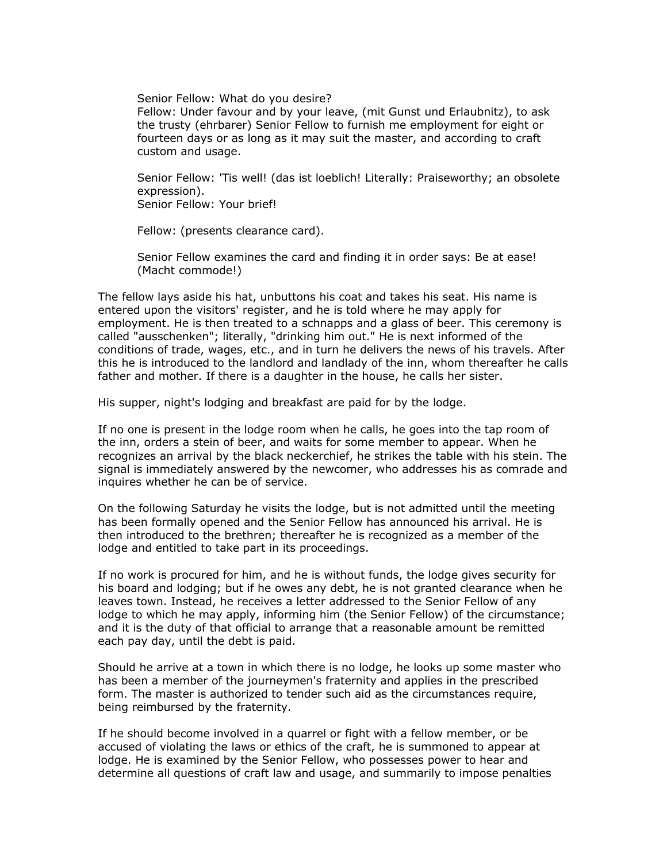Senior Fellow: What do you desire? Fellow: Under favour and by your leave, (mit Gunst und Erlaubnitz), to ask the trusty (ehrbarer) Senior Fellow to furnish me employment for eight or fourteen days or as long as it may suit the master, and according to craft custom and usage.

Senior Fellow: 'Tis well! (das ist loeblich! Literally: Praiseworthy; an obsolete expression). Senior Fellow: Your brief!

Fellow: (presents clearance card).

Senior Fellow examines the card and finding it in order says: Be at ease! (Macht commode!)

The fellow lays aside his hat, unbuttons his coat and takes his seat. His name is entered upon the visitors' register, and he is told where he may apply for employment. He is then treated to a schnapps and a glass of beer. This ceremony is called "ausschenken"; literally, "drinking him out." He is next informed of the conditions of trade, wages, etc., and in turn he delivers the news of his travels. After this he is introduced to the landlord and landlady of the inn, whom thereafter he calls father and mother. If there is a daughter in the house, he calls her sister.

His supper, night's lodging and breakfast are paid for by the lodge.

If no one is present in the lodge room when he calls, he goes into the tap room of the inn, orders a stein of beer, and waits for some member to appear. When he recognizes an arrival by the black neckerchief, he strikes the table with his stein. The signal is immediately answered by the newcomer, who addresses his as comrade and inquires whether he can be of service.

On the following Saturday he visits the lodge, but is not admitted until the meeting has been formally opened and the Senior Fellow has announced his arrival. He is then introduced to the brethren; thereafter he is recognized as a member of the lodge and entitled to take part in its proceedings.

If no work is procured for him, and he is without funds, the lodge gives security for his board and lodging; but if he owes any debt, he is not granted clearance when he leaves town. Instead, he receives a letter addressed to the Senior Fellow of any lodge to which he may apply, informing him (the Senior Fellow) of the circumstance; and it is the duty of that official to arrange that a reasonable amount be remitted each pay day, until the debt is paid.

Should he arrive at a town in which there is no lodge, he looks up some master who has been a member of the journeymen's fraternity and applies in the prescribed form. The master is authorized to tender such aid as the circumstances require, being reimbursed by the fraternity.

If he should become involved in a quarrel or fight with a fellow member, or be accused of violating the laws or ethics of the craft, he is summoned to appear at lodge. He is examined by the Senior Fellow, who possesses power to hear and determine all questions of craft law and usage, and summarily to impose penalties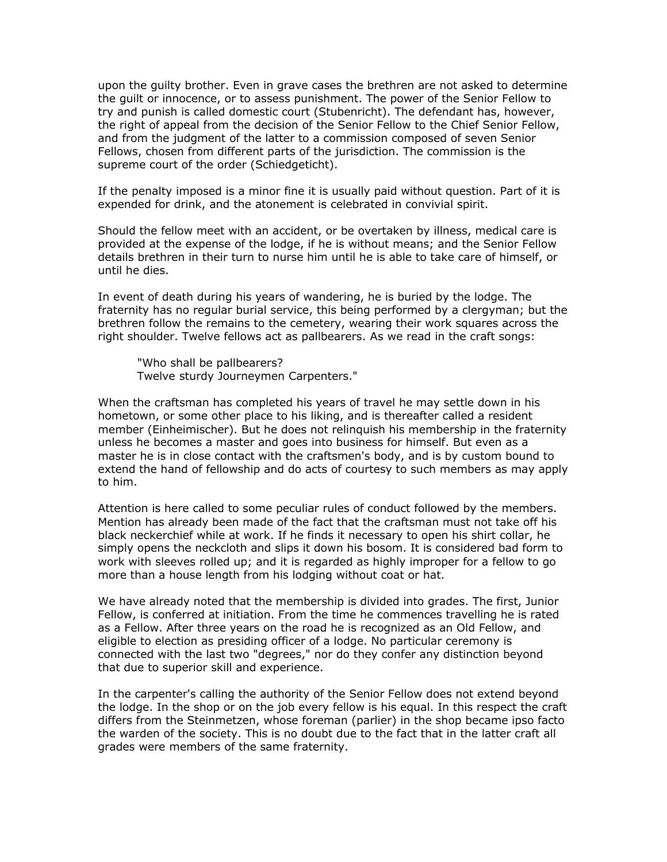upon the guilty brother. Even in grave cases the brethren are not asked to determine the guilt or innocence, or to assess punishment. The power of the Senior Fellow to try and punish is called domestic court (Stubenricht). The defendant has, however, the right of appeal from the decision of the Senior Fellow to the Chief Senior Fellow, and from the judgment of the latter to a commission composed of seven Senior Fellows, chosen from different parts of the jurisdiction. The commission is the supreme court of the order (Schiedgeticht).

If the penalty imposed is a minor fine it is usually paid without question. Part of it is expended for drink, and the atonement is celebrated in convivial spirit.

Should the fellow meet with an accident, or be overtaken by illness, medical care is provided at the expense of the lodge, if he is without means; and the Senior Fellow details brethren in their turn to nurse him until he is able to take care of himself, or until he dies.

In event of death during his years of wandering, he is buried by the lodge. The fraternity has no regular burial service, this being performed by a clergyman; but the brethren follow the remains to the cemetery, wearing their work squares across the right shoulder. Twelve fellows act as pallbearers. As we read in the craft songs:

"Who shall be pallbearers? Twelve sturdy Journeymen Carpenters."

When the craftsman has completed his years of travel he may settle down in his hometown, or some other place to his liking, and is thereafter called a resident member (Einheimischer). But he does not relinquish his membership in the fraternity unless he becomes a master and goes into business for himself. But even as a master he is in close contact with the craftsmen's body, and is by custom bound to extend the hand of fellowship and do acts of courtesy to such members as may apply to him.

Attention is here called to some peculiar rules of conduct followed by the members. Mention has already been made of the fact that the craftsman must not take off his black neckerchief while at work. If he finds it necessary to open his shirt collar, he simply opens the neckcloth and slips it down his bosom. It is considered bad form to work with sleeves rolled up; and it is regarded as highly improper for a fellow to go more than a house length from his lodging without coat or hat.

We have already noted that the membership is divided into grades. The first, Junior Fellow, is conferred at initiation. From the time he commences travelling he is rated as a Fellow. After three years on the road he is recognized as an Old Fellow, and eligible to election as presiding officer of a lodge. No particular ceremony is connected with the last two "degrees," nor do they confer any distinction beyond that due to superior skill and experience.

In the carpenter's calling the authority of the Senior Fellow does not extend beyond the lodge. In the shop or on the job every fellow is his equal. In this respect the craft differs from the Steinmetzen, whose foreman (parlier) in the shop became ipso facto the warden of the society. This is no doubt due to the fact that in the latter craft all grades were members of the same fraternity.